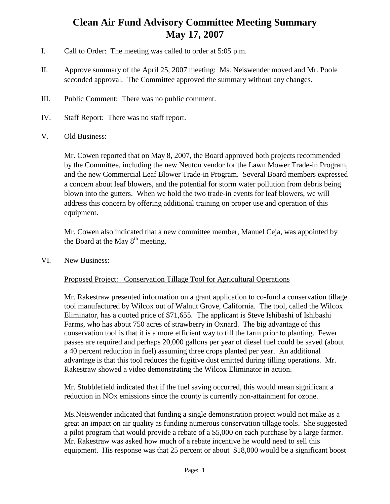## **Clean Air Fund Advisory Committee Meeting Summary May 17, 2007**

- I. Call to Order: The meeting was called to order at 5:05 p.m.
- II. Approve summary of the April 25, 2007 meeting: Ms. Neiswender moved and Mr. Poole seconded approval. The Committee approved the summary without any changes.
- III. Public Comment: There was no public comment.
- IV. Staff Report: There was no staff report.
- V. Old Business:

Mr. Cowen reported that on May 8, 2007, the Board approved both projects recommended by the Committee, including the new Neuton vendor for the Lawn Mower Trade-in Program, and the new Commercial Leaf Blower Trade-in Program. Several Board members expressed a concern about leaf blowers, and the potential for storm water pollution from debris being blown into the gutters. When we hold the two trade-in events for leaf blowers, we will address this concern by offering additional training on proper use and operation of this equipment.

Mr. Cowen also indicated that a new committee member, Manuel Ceja, was appointed by the Board at the May  $8<sup>th</sup>$  meeting.

VI. New Business:

## Proposed Project: Conservation Tillage Tool for Agricultural Operations

Mr. Rakestraw presented information on a grant application to co-fund a conservation tillage tool manufactured by Wilcox out of Walnut Grove, California. The tool, called the Wilcox Eliminator, has a quoted price of \$71,655. The applicant is Steve Ishibashi of Ishibashi Farms, who has about 750 acres of strawberry in Oxnard. The big advantage of this conservation tool is that it is a more efficient way to till the farm prior to planting. Fewer passes are required and perhaps 20,000 gallons per year of diesel fuel could be saved (about a 40 percent reduction in fuel) assuming three crops planted per year. An additional advantage is that this tool reduces the fugitive dust emitted during tilling operations. Mr. Rakestraw showed a video demonstrating the Wilcox Eliminator in action.

Mr. Stubblefield indicated that if the fuel saving occurred, this would mean significant a reduction in NOx emissions since the county is currently non-attainment for ozone.

Ms.Neiswender indicated that funding a single demonstration project would not make as a great an impact on air quality as funding numerous conservation tillage tools. She suggested a pilot program that would provide a rebate of a \$5,000 on each purchase by a large farmer. Mr. Rakestraw was asked how much of a rebate incentive he would need to sell this equipment. His response was that 25 percent or about \$18,000 would be a significant boost